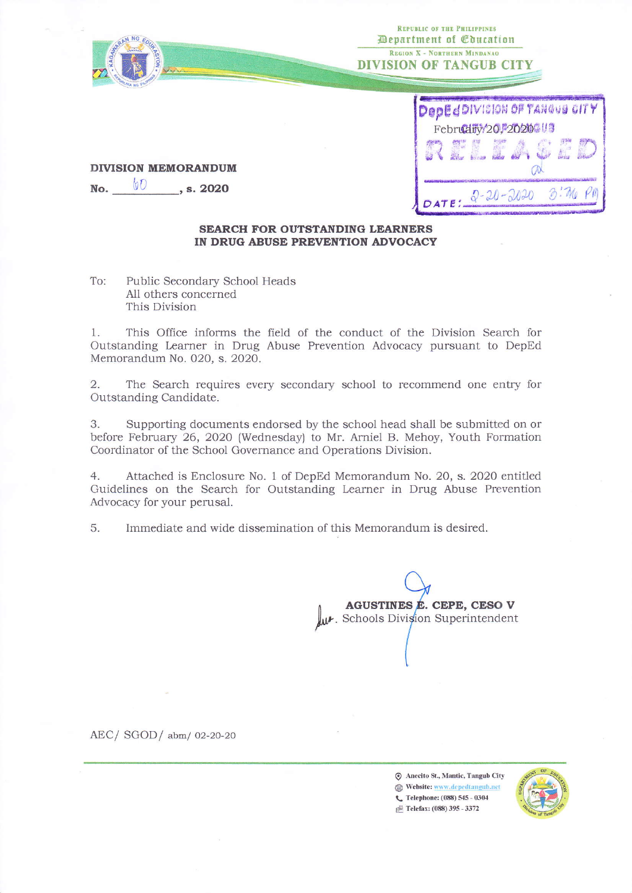

No. 00

| DepEdDIVISION OF TANGUE CITY |  |  |  |
|------------------------------|--|--|--|
| Februdity/20, 2020 3         |  |  |  |
|                              |  |  |  |
|                              |  |  |  |
| D: Ma<br>$20 - 20 - 2020$    |  |  |  |

# **SEARCH FOR OUTSTANDING LEARNERS**

## IN DRUG ABUSE PREVENTION ADVOCACY

Public Secondary School Heads To: All others concerned This Division

, s. 2020

**DIVISION MEMORANDUM** 

This Office informs the field of the conduct of the Division Search for 1. Outstanding Learner in Drug Abuse Prevention Advocacy pursuant to DepEd Memorandum No. 020, s. 2020.

The Search requires every secondary school to recommend one entry for  $2.$ Outstanding Candidate.

Supporting documents endorsed by the school head shall be submitted on or 3. before February 26, 2020 (Wednesday) to Mr. Arniel B. Mehoy, Youth Formation Coordinator of the School Governance and Operations Division.

Attached is Enclosure No. 1 of DepEd Memorandum No. 20, s. 2020 entitled  $4.$ Guidelines on the Search for Outstanding Learner in Drug Abuse Prevention Advocacy for your perusal.

5. Immediate and wide dissemination of this Memorandum is desired.

AGUSTINES E. CEPE, CESO V W. Schools Division Superintendent

AEC/SGOD/abm/02-20-20

Anecito St., Mantic, Tangub City Website: www.depedtangub.net C Telephone: (088) 545 - 0304 Felefax: (088) 395 - 3372

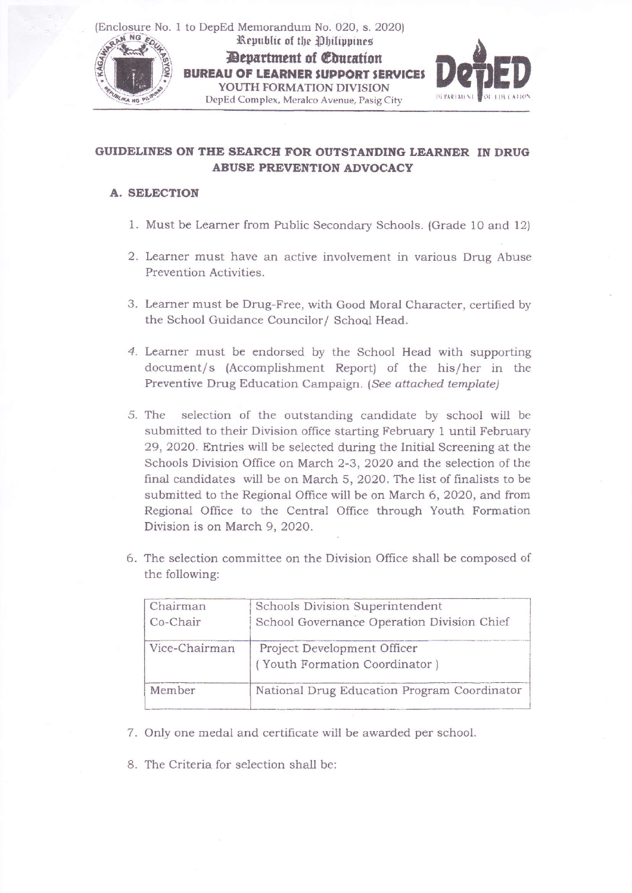(Enclosure No. 1 to DepEd Memorandum No. 020, s. 2020) Republic of the Philippines Department of Education **BUREAU OF LEARNER SUPPORT SERVICES** YOUTH FORMATION DIVISION DepEd Complex, Meralco Avenue, PasigCity **IKA NG P** 



## GUIDELINES ON THE SEARCH FOR OUTSTANDING LEARNER IN DRUG ABUSE PREVENTION ADVOCACY

### **A. SELECTION**

- 1. Must be Learner from Public Secondary Schools. (Grade 1O and 12)
- 2. Learner must have an active involvement in various Drug Abuse Prevention Activities.
- 3. Learner must be Drug-Free, with Good Moral Character, certified by the School Guidance Councilor/ School Head.
- 4. Learner must be endorsed by the School Head with supporting document/s (Accomplishment Report) of the his/her in the Preventive Drug Education Campaign. {See attached template)
- selection of the outstanding candidate by school will be submitted to their Division office starting February 1 until February 29, 2020. Entries will be selected during the Initial Screening at the Schools Division Office on March 2-3, 2020 and the selection of the final candidates will be on March 5,2O2O. The list of finalists to be submitted to the Regional Office will be on March 6,2O2O, and from Regional Ofhce to the Central Office through Youth Formation Division is on March 9, 2O2A. 5.
- 6. The selection committee on the Division Office shall be composed of the following:

| Chairman<br>Co-Chair | Schools Division Superintendent<br>School Governance Operation Division Chief |
|----------------------|-------------------------------------------------------------------------------|
| Vice-Chairman        | Project Development Officer<br>(Youth Formation Coordinator)                  |
| Member               | National Drug Education Program Coordinator                                   |

- 7. Only one medal and certificate will be awarded per school.
- 8. The Criteria for selection shall be: